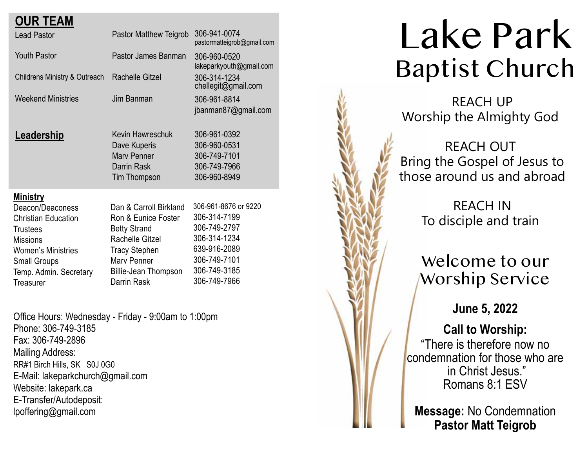| <b>Lead Pastor</b>                                                                   | Pastor Matthew Teigrob                                                                                                                                               | 306-941-0074<br>pastormatteigrob@gmail.com                                                                                           |
|--------------------------------------------------------------------------------------|----------------------------------------------------------------------------------------------------------------------------------------------------------------------|--------------------------------------------------------------------------------------------------------------------------------------|
| <b>Youth Pastor</b>                                                                  | Pastor James Banman                                                                                                                                                  | 306-960-0520<br>lakeparkyouth@gmail.com                                                                                              |
| <b>Childrens Ministry &amp; Outreach</b>                                             | Rachelle Gitzel                                                                                                                                                      | 306-314-1234<br>chellegit@gmail.com                                                                                                  |
| <b>Weekend Ministries</b>                                                            | Jim Banman                                                                                                                                                           | 306-961-8814<br>jbanman87@gmail.com                                                                                                  |
| <u>Leadership</u>                                                                    | Kevin Hawreschuk<br>Dave Kuperis<br>Mary Penner<br>Darrin Rask<br><b>Tim Thompson</b>                                                                                | 306-961-0392<br>306-960-0531<br>306-749-7101<br>306-749-7966<br>306-960-8949                                                         |
| <b>Ministry</b><br>Deacon/Deaconess<br><b>Small Groups</b><br>Temp. Admin. Secretary | Dan & Carroll Birkland<br>Ron & Eunice Foster<br><b>Betty Strand</b><br>Rachelle Gitzel<br><b>Tracy Stephen</b><br><b>Mary Penner</b><br><b>Billie-Jean Thompson</b> | 306-961-8676 or 9220<br>306-314-7199<br>306-749-2797<br>306-314-1234<br>639-916-2089<br>306-749-7101<br>306-749-3185<br>306-749-7966 |
|                                                                                      | <b>OUR TEAM</b><br><b>Christian Education</b><br><b>Trustees</b><br><b>Missions</b><br><b>Women's Ministries</b><br>Treasurer                                        | Darrin Rask                                                                                                                          |

Office Hours: Wednesday - Friday - 9:00am to 1:00pm Phone: 306-749-3185 Fax: 306-749-2896 Mailing Address: RR#1 Birch Hills, SK S0J 0G0 E-Mail: lakeparkchurch@gmail.com Website: lakepark.ca E-Transfer/Autodeposit: lpoffering@gmail.com

# Lake Park Baptist Church

 REACH UP Worship the Almighty God

REACH OUT Bring the Gospel of Jesus to those around us and abroad

> REACH IN To disciple and train

## Welcome to our Worship Service

**June 5, 2022**

## **Call to Worship:**

"There is therefore now no condemnation for those who are in Christ Jesus." Romans 8:1 ESV

**Message:** No Condemnation **Pastor Matt Teigrob**